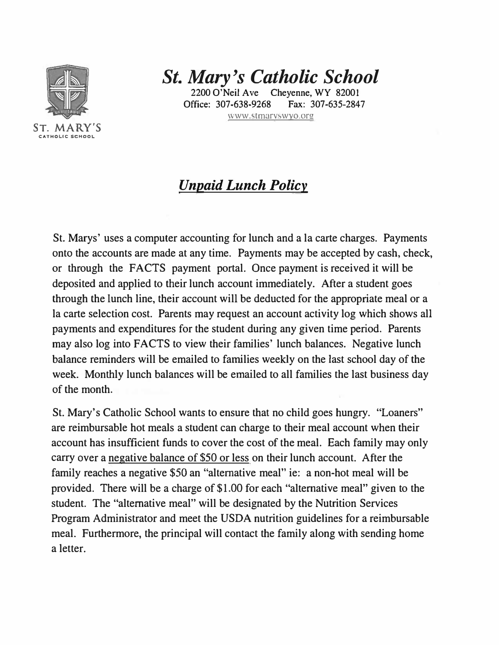

*St. Mary's Catholic School* 

2200 O'Neil Ave Cheyenne, WY 82001 Office: 307•638·9268 Fax: 307-635-2847 www.stmaryswyo.org

*Unpaid Lunch Policy* 

St. Marys' uses a computer accounting for lunch and a la carte charges. Payments onto the accounts are made at any time. Payments may be accepted by cash, check, or through the FACTS payment portal. Once payment is received it will be deposited and applied to their lunch account immediately. After a student goes through the lunch line, their account will be deducted for the appropriate meal or a la carte selection cost. Parents may request an account activity log which shows all payments and expenditures for the student during any given time period. Parents may also log into FACTS to view their families' lunch balances. Negative lunch balance reminders will be emailed to families weekly on the last school day of the week. Monthly lunch balances will be emailed to all families the last business day of the month.

St. Mary's Catholic School wants to ensure that no child goes hungry. "Loaners" are reimbursable hot meals a student can charge to their meal account when their account has insufficient funds to cover the cost of the meal. Each family may only carry over a negative balance of \$50 or less on their lunch account. After the family reaches a negative \$50 an "alternative meal" ie: a non-hot meal will be provided. There will be a charge of \$1.00 for each "alternative meal" given to the student. The "alternative meal" will be designated by the Nutrition Services Program Administrator and meet the USDA nutrition guidelines for a reimbursable meal. Furthermore, the principal will contact the family along with sending home a letter.